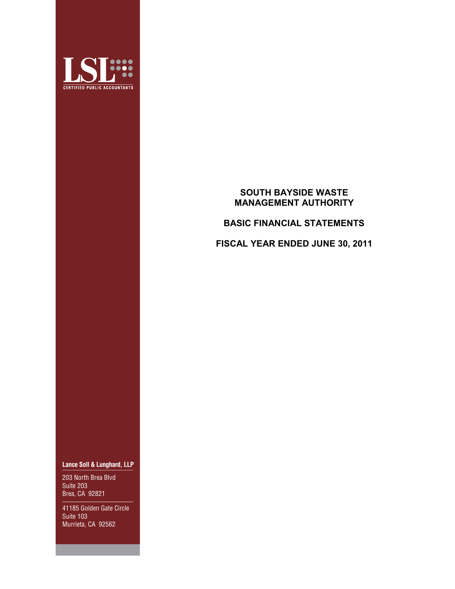

# **BASIC FINANCIAL STATEMENTS**

# **FISCAL YEAR ENDED JUNE 30, 2011**

**Lance Soll & Lunghard, LLP**

203 North Brea Blvd Suite 203 Brea, CA 92821

41185 Golden Gate Circle Suite 103 Murrieta, CA 92562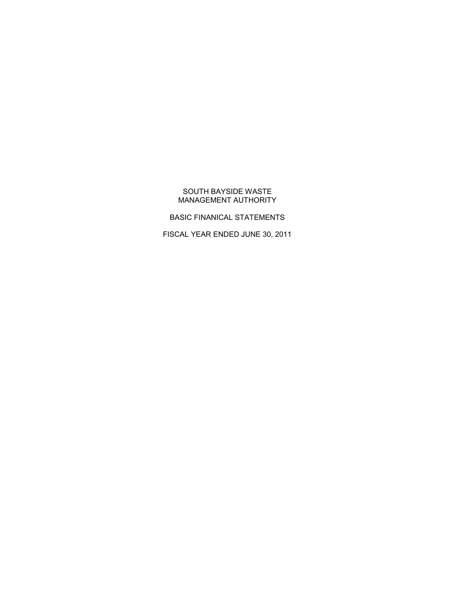## BASIC FINANICAL STATEMENTS

FISCAL YEAR ENDED JUNE 30, 2011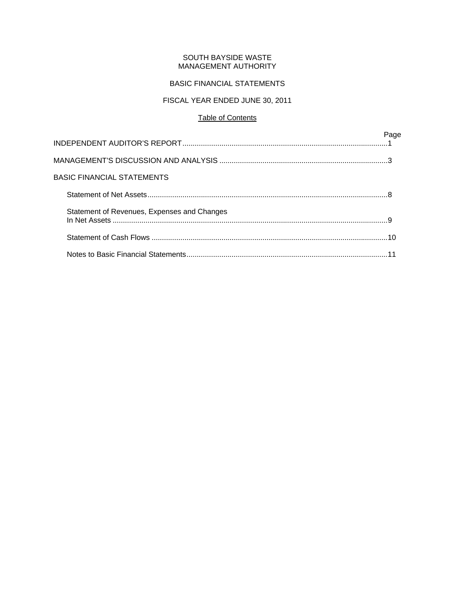## BASIC FINANCIAL STATEMENTS

# FISCAL YEAR ENDED JUNE 30, 2011

# Table of Contents

|                                             | Page |
|---------------------------------------------|------|
|                                             |      |
| BASIC FINANCIAL STATEMENTS                  |      |
|                                             |      |
| Statement of Revenues, Expenses and Changes |      |
|                                             |      |
|                                             |      |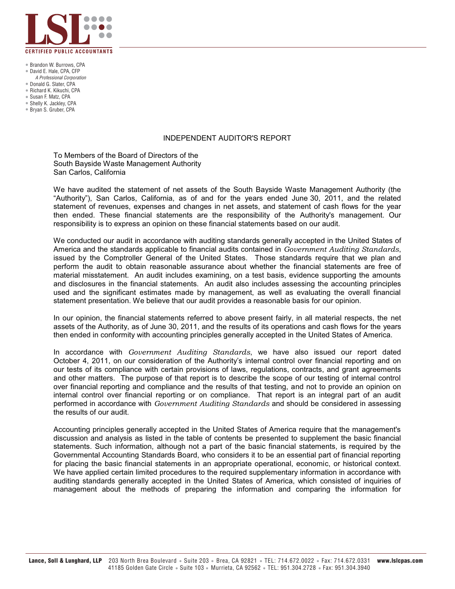

Brandon W. Burrows, CPA David E. Hale, CPA, CFP

- A Professional Corporation Donald G. Slater, CPA
- **Richard K. Kikuchi, CPA**
- Susan F. Matz, CPA
- Shelly K. Jackley, CPA
- Bryan S. Gruber, CPA

## INDEPENDENT AUDITOR'S REPORT

To Members of the Board of Directors of the South Bayside Waste Management Authority San Carlos, California

We have audited the statement of net assets of the South Bayside Waste Management Authority (the "Authority"), San Carlos, California, as of and for the years ended June 30, 2011, and the related statement of revenues, expenses and changes in net assets, and statement of cash flows for the year then ended. These financial statements are the responsibility of the Authority's management. Our responsibility is to express an opinion on these financial statements based on our audit.

We conducted our audit in accordance with auditing standards generally accepted in the United States of America and the standards applicable to financial audits contained in *Government Auditing Standards*, issued by the Comptroller General of the United States. Those standards require that we plan and perform the audit to obtain reasonable assurance about whether the financial statements are free of material misstatement. An audit includes examining, on a test basis, evidence supporting the amounts and disclosures in the financial statements. An audit also includes assessing the accounting principles used and the significant estimates made by management, as well as evaluating the overall financial statement presentation. We believe that our audit provides a reasonable basis for our opinion.

In our opinion, the financial statements referred to above present fairly, in all material respects, the net assets of the Authority, as of June 30, 2011, and the results of its operations and cash flows for the years then ended in conformity with accounting principles generally accepted in the United States of America.

In accordance with *Government Auditing Standards*, we have also issued our report dated October 4, 2011, on our consideration of the Authority's internal control over financial reporting and on our tests of its compliance with certain provisions of laws, regulations, contracts, and grant agreements and other matters. The purpose of that report is to describe the scope of our testing of internal control over financial reporting and compliance and the results of that testing, and not to provide an opinion on internal control over financial reporting or on compliance. That report is an integral part of an audit performed in accordance with *Government Auditing Standards* and should be considered in assessing the results of our audit.

Accounting principles generally accepted in the United States of America require that the management's discussion and analysis as listed in the table of contents be presented to supplement the basic financial statements. Such information, although not a part of the basic financial statements, is required by the Governmental Accounting Standards Board, who considers it to be an essential part of financial reporting for placing the basic financial statements in an appropriate operational, economic, or historical context. We have applied certain limited procedures to the required supplementary information in accordance with auditing standards generally accepted in the United States of America, which consisted of inquiries of management about the methods of preparing the information and comparing the information for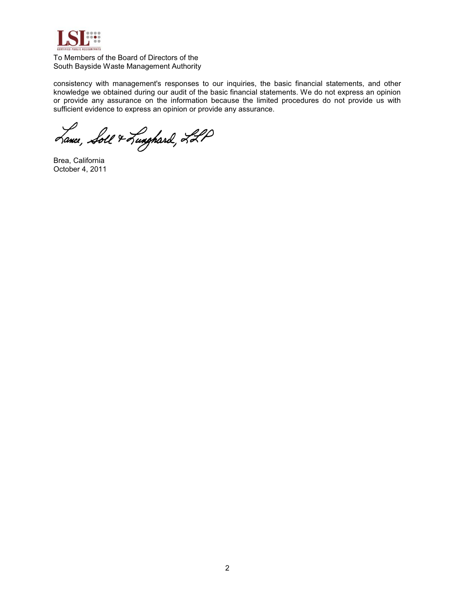

To Members of the Board of Directors of the South Bayside Waste Management Authority

consistency with management's responses to our inquiries, the basic financial statements, and other knowledge we obtained during our audit of the basic financial statements. We do not express an opinion or provide any assurance on the information because the limited procedures do not provide us with sufficient evidence to express an opinion or provide any assurance.

Lance, Soll & Lunghard, LLP

Brea, California October 4, 2011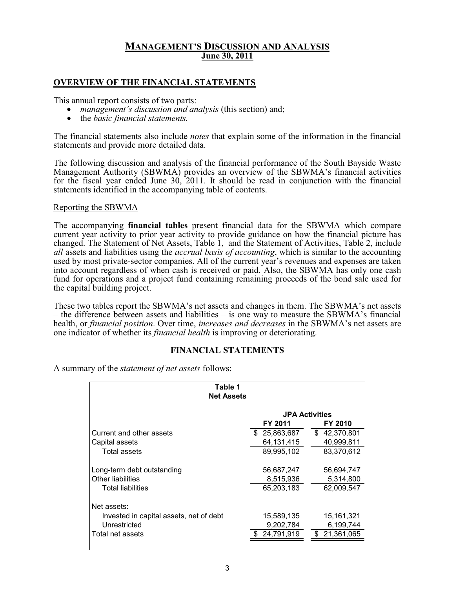# **MANAGEMENT'S DISCUSSION AND ANALYSIS June 30, 2011**

# **OVERVIEW OF THE FINANCIAL STATEMENTS**

This annual report consists of two parts:

- *management's discussion and analysis* (this section) and;
- the *basic financial statements.*

The financial statements also include *notes* that explain some of the information in the financial statements and provide more detailed data.

The following discussion and analysis of the financial performance of the South Bayside Waste Management Authority (SBWMA) provides an overview of the SBWMA's financial activities for the fiscal year ended June 30, 2011. It should be read in conjunction with the financial statements identified in the accompanying table of contents.

## Reporting the SBWMA

The accompanying **financial tables** present financial data for the SBWMA which compare current year activity to prior year activity to provide guidance on how the financial picture has changed. The Statement of Net Assets, Table 1, and the Statement of Activities, Table 2, include *all* assets and liabilities using the *accrual basis of accounting*, which is similar to the accounting used by most private-sector companies. All of the current year's revenues and expenses are taken into account regardless of when cash is received or paid. Also, the SBWMA has only one cash fund for operations and a project fund containing remaining proceeds of the bond sale used for the capital building project.

These two tables report the SBWMA's net assets and changes in them. The SBWMA's net assets – the difference between assets and liabilities – is one way to measure the SBWMA's financial health, or *financial position*. Over time, *increases and decreases* in the SBWMA's net assets are one indicator of whether its *financial health* is improving or deteriorating.

## **FINANCIAL STATEMENTS**

A summary of the *statement of net assets* follows:

| Table 1<br><b>Net Assets</b>            |              |                       |
|-----------------------------------------|--------------|-----------------------|
|                                         |              | <b>JPA Activities</b> |
|                                         | FY 2011      | FY 2010               |
| Current and other assets                | \$25,863,687 | \$42,370,801          |
| Capital assets                          | 64,131,415   | 40,999,811            |
| Total assets                            | 89,995,102   | 83,370,612            |
| Long-term debt outstanding              | 56,687,247   | 56,694,747            |
| Other liabilities                       | 8,515,936    | 5,314,800             |
| <b>Total liabilities</b>                | 65,203,183   | 62,009,547            |
| Net assets:                             |              |                       |
| Invested in capital assets, net of debt | 15,589,135   | 15,161,321            |
| Unrestricted                            | 9,202,784    | 6,199,744             |
| Total net assets                        | \$24,791,919 | \$ 21,361,065         |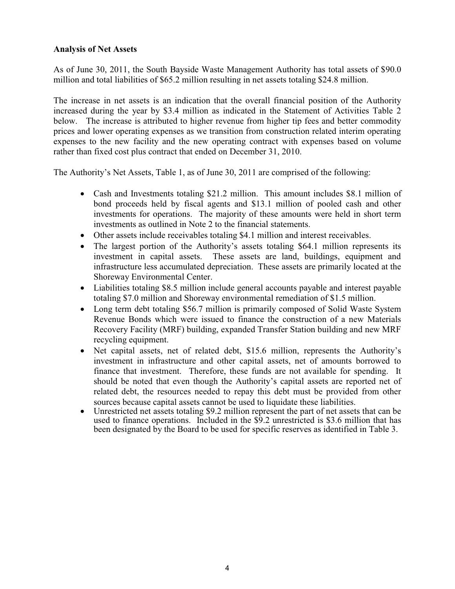# **Analysis of Net Assets**

As of June 30, 2011, the South Bayside Waste Management Authority has total assets of \$90.0 million and total liabilities of \$65.2 million resulting in net assets totaling \$24.8 million.

The increase in net assets is an indication that the overall financial position of the Authority increased during the year by \$3.4 million as indicated in the Statement of Activities Table 2 below. The increase is attributed to higher revenue from higher tip fees and better commodity prices and lower operating expenses as we transition from construction related interim operating expenses to the new facility and the new operating contract with expenses based on volume rather than fixed cost plus contract that ended on December 31, 2010.

The Authority's Net Assets, Table 1, as of June 30, 2011 are comprised of the following:

- Cash and Investments totaling \$21.2 million. This amount includes \$8.1 million of bond proceeds held by fiscal agents and \$13.1 million of pooled cash and other investments for operations. The majority of these amounts were held in short term investments as outlined in Note 2 to the financial statements.
- Other assets include receivables totaling \$4.1 million and interest receivables.
- The largest portion of the Authority's assets totaling \$64.1 million represents its investment in capital assets. These assets are land, buildings, equipment and infrastructure less accumulated depreciation. These assets are primarily located at the Shoreway Environmental Center.
- Liabilities totaling \$8.5 million include general accounts payable and interest payable totaling \$7.0 million and Shoreway environmental remediation of \$1.5 million.
- Long term debt totaling \$56.7 million is primarily composed of Solid Waste System Revenue Bonds which were issued to finance the construction of a new Materials Recovery Facility (MRF) building, expanded Transfer Station building and new MRF recycling equipment.
- Net capital assets, net of related debt, \$15.6 million, represents the Authority's investment in infrastructure and other capital assets, net of amounts borrowed to finance that investment. Therefore, these funds are not available for spending. It should be noted that even though the Authority's capital assets are reported net of related debt, the resources needed to repay this debt must be provided from other sources because capital assets cannot be used to liquidate these liabilities.
- Unrestricted net assets totaling \$9.2 million represent the part of net assets that can be used to finance operations. Included in the \$9.2 unrestricted is \$3.6 million that has been designated by the Board to be used for specific reserves as identified in Table 3.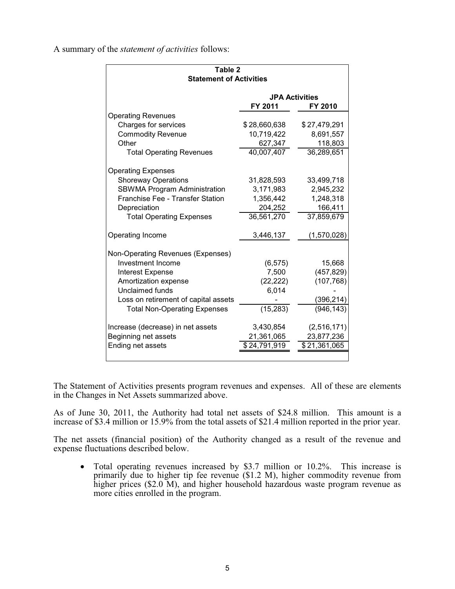A summary of the *statement of activities* follows:

| Table 2                              |              |              |  |  |  |
|--------------------------------------|--------------|--------------|--|--|--|
| <b>Statement of Activities</b>       |              |              |  |  |  |
| <b>JPA Activities</b>                |              |              |  |  |  |
|                                      | FY 2011      | FY 2010      |  |  |  |
| <b>Operating Revenues</b>            |              |              |  |  |  |
| Charges for services                 | \$28,660,638 | \$27,479,291 |  |  |  |
| <b>Commodity Revenue</b>             | 10,719,422   | 8,691,557    |  |  |  |
| Other                                | 627,347      | 118,803      |  |  |  |
| <b>Total Operating Revenues</b>      | 40,007,407   | 36,289,651   |  |  |  |
| <b>Operating Expenses</b>            |              |              |  |  |  |
| <b>Shoreway Operations</b>           | 31,828,593   | 33,499,718   |  |  |  |
| <b>SBWMA Program Administration</b>  | 3,171,983    | 2,945,232    |  |  |  |
| Franchise Fee - Transfer Station     | 1,356,442    | 1,248,318    |  |  |  |
| Depreciation                         | 204,252      | 166,411      |  |  |  |
| <b>Total Operating Expenses</b>      | 36,561,270   | 37,859,679   |  |  |  |
| Operating Income                     | 3,446,137    | (1,570,028)  |  |  |  |
| Non-Operating Revenues (Expenses)    |              |              |  |  |  |
| Investment Income                    | (6, 575)     | 15,668       |  |  |  |
| <b>Interest Expense</b>              | 7,500        | (457, 829)   |  |  |  |
| Amortization expense                 | (22, 222)    | (107, 768)   |  |  |  |
| Unclaimed funds                      | 6,014        |              |  |  |  |
| Loss on retirement of capital assets |              | (396, 214)   |  |  |  |
| <b>Total Non-Operating Expenses</b>  | (15, 283)    | (946, 143)   |  |  |  |
| Increase (decrease) in net assets    | 3,430,854    | (2,516,171)  |  |  |  |
| Beginning net assets                 | 21,361,065   | 23,877,236   |  |  |  |
| Ending net assets                    | \$24,791,919 | \$21,361,065 |  |  |  |
|                                      |              |              |  |  |  |

The Statement of Activities presents program revenues and expenses. All of these are elements in the Changes in Net Assets summarized above.

As of June 30, 2011, the Authority had total net assets of \$24.8 million. This amount is a increase of \$3.4 million or 15.9% from the total assets of \$21.4 million reported in the prior year.

The net assets (financial position) of the Authority changed as a result of the revenue and expense fluctuations described below.

- Total operating revenues increased by \$3.7 million or 10.2%. This increase is primarily due to higher tip fee revenue (\$1.2 M), higher commodity revenue from higher prices (\$2.0 M), and higher household hazardous waste program revenue as more cities enrolled in the program.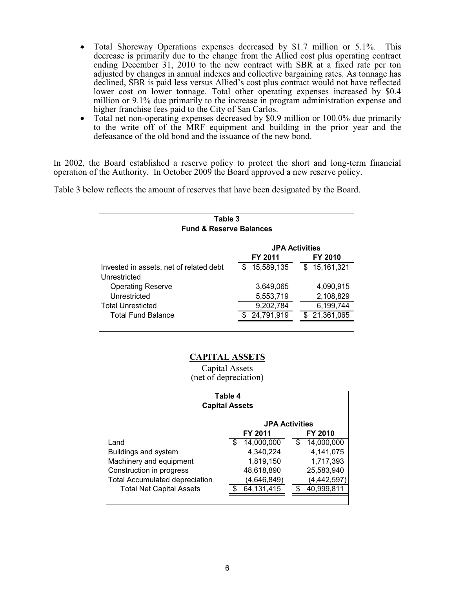- Total Shoreway Operations expenses decreased by \$1.7 million or 5.1%. This decrease is primarily due to the change from the Allied cost plus operating contract ending December 31, 2010 to the new contract with SBR at a fixed rate per ton adjusted by changes in annual indexes and collective bargaining rates. As tonnage has declined, SBR is paid less versus Allied's cost plus contract would not have reflected lower cost on lower tonnage. Total other operating expenses increased by \$0.4 million or 9.1% due primarily to the increase in program administration expense and higher franchise fees paid to the City of San Carlos.
- $\bullet$  Total net non-operating expenses decreased by \$0.9 million or 100.0% due primarily to the write off of the MRF equipment and building in the prior year and the defeasance of the old bond and the issuance of the new bond.

In 2002, the Board established a reserve policy to protect the short and long-term financial operation of the Authority. In October 2009 the Board approved a new reserve policy.

Table 3 below reflects the amount of reserves that have been designated by the Board.

| Table 3<br><b>Fund &amp; Reserve Balances</b> |              |              |  |  |  |
|-----------------------------------------------|--------------|--------------|--|--|--|
| <b>JPA Activities</b>                         |              |              |  |  |  |
|                                               | FY 2011      | FY 2010      |  |  |  |
| Invested in assets, net of related debt       | \$15,589,135 | \$15,161,321 |  |  |  |
| Unrestricted                                  |              |              |  |  |  |
| <b>Operating Reserve</b>                      | 3,649,065    | 4,090,915    |  |  |  |
| Unrestricted                                  | 5,553,719    | 2,108,829    |  |  |  |
| <b>Total Unresticted</b>                      | 9,202,784    | 6,199,744    |  |  |  |
| <b>Total Fund Balance</b>                     | 24,791,919   | 21,361,065   |  |  |  |
|                                               |              |              |  |  |  |

## **CAPITAL ASSETS**

Capital Assets (net of depreciation)

| Table 4<br><b>Capital Assets</b>      |   |             |    |            |  |
|---------------------------------------|---|-------------|----|------------|--|
| <b>JPA Activities</b>                 |   |             |    |            |  |
| FY 2011<br><b>FY 2010</b>             |   |             |    |            |  |
| Land                                  | S | 14,000,000  | \$ | 14,000,000 |  |
| Buildings and system                  |   | 4,340,224   |    | 4,141,075  |  |
| Machinery and equipment               |   | 1,819,150   |    | 1,717,393  |  |
| Construction in progress              |   | 48,618,890  |    | 25,583,940 |  |
| <b>Total Accumulated depreciation</b> |   | (4,646,849) |    | (4,442,597 |  |
| <b>Total Net Capital Assets</b>       |   | 64,131,415  |    | 40,999,811 |  |
|                                       |   |             |    |            |  |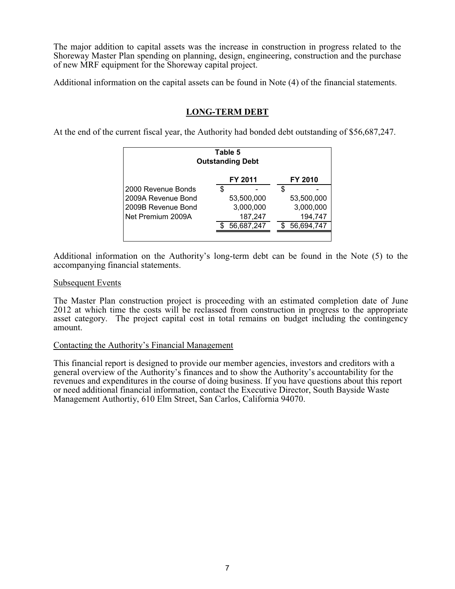The major addition to capital assets was the increase in construction in progress related to the Shoreway Master Plan spending on planning, design, engineering, construction and the purchase of new MRF equipment for the Shoreway capital project.

Additional information on the capital assets can be found in Note (4) of the financial statements.

# **LONG-TERM DEBT**

At the end of the current fiscal year, the Authority had bonded debt outstanding of \$56,687,247.

| Table 5<br><b>Outstanding Debt</b>       |  |            |  |            |  |
|------------------------------------------|--|------------|--|------------|--|
|                                          |  | FY 2011    |  | FY 2010    |  |
| 2000 Revenue Bonds                       |  |            |  |            |  |
| 2009A Revenue Bond<br>2009B Revenue Bond |  | 53,500,000 |  | 53,500,000 |  |
|                                          |  | 3,000,000  |  | 3,000,000  |  |
| Net Premium 2009A                        |  | 187,247    |  | 194,747    |  |
|                                          |  | 56,687,247 |  | 56,694,747 |  |
|                                          |  |            |  |            |  |

Additional information on the Authority's long-term debt can be found in the Note (5) to the accompanying financial statements.

## Subsequent Events

The Master Plan construction project is proceeding with an estimated completion date of June 2012 at which time the costs will be reclassed from construction in progress to the appropriate asset category. The project capital cost in total remains on budget including the contingency amount.

## Contacting the Authority's Financial Management

This financial report is designed to provide our member agencies, investors and creditors with a general overview of the Authority's finances and to show the Authority's accountability for the revenues and expenditures in the course of doing business. If you have questions about this report or need additional financial information, contact the Executive Director, South Bayside Waste Management Authortiy, 610 Elm Street, San Carlos, California 94070.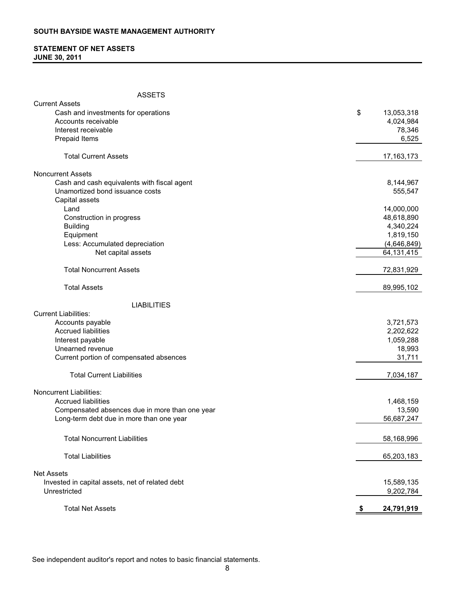### **STATEMENT OF NET ASSETS JUNE 30, 2011**

| <b>ASSETS</b>                                   |                         |
|-------------------------------------------------|-------------------------|
| <b>Current Assets</b>                           |                         |
| Cash and investments for operations             | \$<br>13,053,318        |
| Accounts receivable                             | 4,024,984               |
| Interest receivable                             | 78,346                  |
| Prepaid Items                                   | 6,525                   |
| <b>Total Current Assets</b>                     | 17, 163, 173            |
|                                                 |                         |
| <b>Noncurrent Assets</b>                        |                         |
| Cash and cash equivalents with fiscal agent     | 8,144,967               |
| Unamortized bond issuance costs                 | 555,547                 |
| Capital assets                                  |                         |
| Land                                            | 14,000,000              |
| Construction in progress                        | 48,618,890<br>4,340,224 |
| <b>Building</b>                                 |                         |
| Equipment                                       | 1,819,150               |
| Less: Accumulated depreciation                  | (4,646,849)             |
| Net capital assets                              | 64, 131, 415            |
| <b>Total Noncurrent Assets</b>                  | 72,831,929              |
| <b>Total Assets</b>                             | 89,995,102              |
| <b>LIABILITIES</b>                              |                         |
| <b>Current Liabilities:</b>                     |                         |
| Accounts payable                                | 3,721,573               |
| <b>Accrued liabilities</b>                      | 2,202,622               |
| Interest payable                                | 1,059,288               |
| Unearned revenue                                | 18,993                  |
| Current portion of compensated absences         | 31,711                  |
|                                                 |                         |
| <b>Total Current Liabilities</b>                | 7,034,187               |
| <b>Noncurrent Liabilities:</b>                  |                         |
| <b>Accrued liabilities</b>                      | 1,468,159               |
| Compensated absences due in more than one year  | 13,590                  |
| Long-term debt due in more than one year        | 56,687,247              |
|                                                 |                         |
| <b>Total Noncurrent Liabilities</b>             | 58,168,996              |
| <b>Total Liabilities</b>                        | 65,203,183              |
| <b>Net Assets</b>                               |                         |
| Invested in capital assets, net of related debt | 15,589,135              |
| Unrestricted                                    | 9,202,784               |
|                                                 |                         |
| <b>Total Net Assets</b>                         | 24,791,919              |

See independent auditor's report and notes to basic financial statements.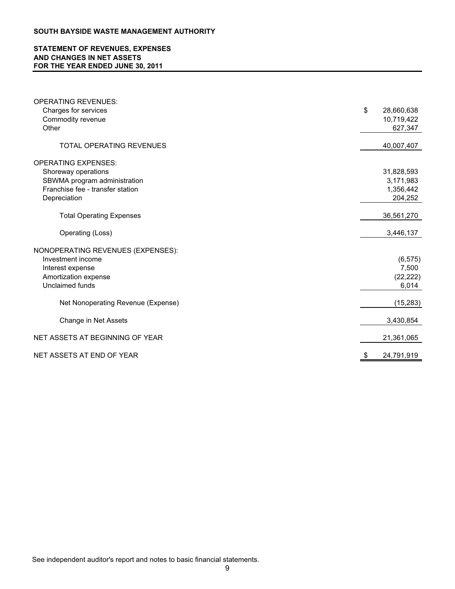## **STATEMENT OF REVENUES, EXPENSES AND CHANGES IN NET ASSETS FOR THE YEAR ENDED JUNE 30, 2011**

| <b>OPERATING REVENUES:</b>         |                  |
|------------------------------------|------------------|
| Charges for services               | \$<br>28,660,638 |
| Commodity revenue                  | 10,719,422       |
| Other                              | 627,347          |
| <b>TOTAL OPERATING REVENUES</b>    | 40,007,407       |
|                                    |                  |
| <b>OPERATING EXPENSES:</b>         |                  |
| Shoreway operations                | 31,828,593       |
| SBWMA program administration       | 3,171,983        |
| Franchise fee - transfer station   | 1,356,442        |
| Depreciation                       | 204,252          |
| <b>Total Operating Expenses</b>    | 36,561,270       |
| Operating (Loss)                   | 3,446,137        |
| NONOPERATING REVENUES (EXPENSES):  |                  |
| Investment income                  | (6, 575)         |
| Interest expense                   | 7,500            |
| Amortization expense               | (22, 222)        |
| Unclaimed funds                    | 6,014            |
| Net Nonoperating Revenue (Expense) | (15, 283)        |
| Change in Net Assets               | 3,430,854        |
| NET ASSETS AT BEGINNING OF YEAR    | 21,361,065       |
| NET ASSETS AT END OF YEAR          | \$<br>24,791,919 |

See independent auditor's report and notes to basic financial statements.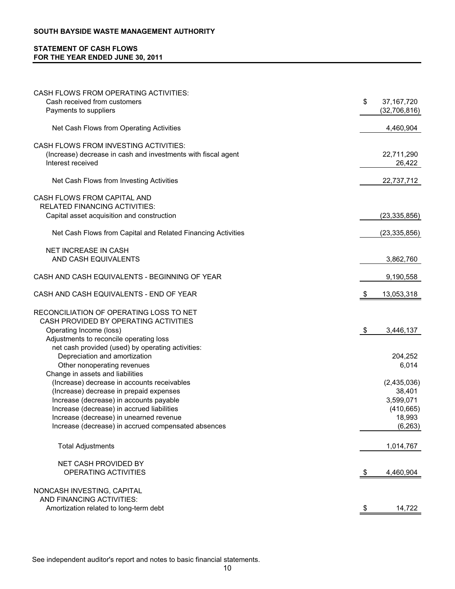### **STATEMENT OF CASH FLOWS FOR THE YEAR ENDED JUNE 30, 2011**

| CASH FLOWS FROM OPERATING ACTIVITIES:<br>Cash received from customers<br>Payments to suppliers                                                                                                                                                                                                                                                                                                            | \$<br>37, 167, 720<br>(32,706,816)                                                  |
|-----------------------------------------------------------------------------------------------------------------------------------------------------------------------------------------------------------------------------------------------------------------------------------------------------------------------------------------------------------------------------------------------------------|-------------------------------------------------------------------------------------|
| Net Cash Flows from Operating Activities                                                                                                                                                                                                                                                                                                                                                                  | 4,460,904                                                                           |
| CASH FLOWS FROM INVESTING ACTIVITIES:<br>(Increase) decrease in cash and investments with fiscal agent<br>Interest received                                                                                                                                                                                                                                                                               | 22,711,290<br>26,422                                                                |
| Net Cash Flows from Investing Activities                                                                                                                                                                                                                                                                                                                                                                  | 22,737,712                                                                          |
| CASH FLOWS FROM CAPITAL AND<br><b>RELATED FINANCING ACTIVITIES:</b><br>Capital asset acquisition and construction<br>Net Cash Flows from Capital and Related Financing Activities                                                                                                                                                                                                                         | (23, 335, 856)                                                                      |
| NET INCREASE IN CASH<br>AND CASH EQUIVALENTS                                                                                                                                                                                                                                                                                                                                                              | (23, 335, 856)<br>3,862,760                                                         |
| CASH AND CASH EQUIVALENTS - BEGINNING OF YEAR                                                                                                                                                                                                                                                                                                                                                             | 9,190,558                                                                           |
| CASH AND CASH EQUIVALENTS - END OF YEAR                                                                                                                                                                                                                                                                                                                                                                   | \$<br>13,053,318                                                                    |
| RECONCILIATION OF OPERATING LOSS TO NET<br>CASH PROVIDED BY OPERATING ACTIVITIES<br>Operating Income (loss)<br>Adjustments to reconcile operating loss<br>net cash provided (used) by operating activities:<br>Depreciation and amortization<br>Other nonoperating revenues<br>Change in assets and liabilities<br>(Increase) decrease in accounts receivables<br>(Increase) decrease in prepaid expenses | $\boldsymbol{\mathsf{S}}$<br>3,446,137<br>204,252<br>6,014<br>(2,435,036)<br>38,401 |
| Increase (decrease) in accounts payable<br>Increase (decrease) in accrued liabilities<br>Increase (decrease) in unearned revenue<br>Increase (decrease) in accrued compensated absences                                                                                                                                                                                                                   | 3,599,071<br>(410, 665)<br>18,993<br>(6, 263)                                       |
| <b>Total Adjustments</b>                                                                                                                                                                                                                                                                                                                                                                                  | 1,014,767                                                                           |
| NET CASH PROVIDED BY<br>OPERATING ACTIVITIES                                                                                                                                                                                                                                                                                                                                                              | 4,460,904<br>\$                                                                     |
| NONCASH INVESTING, CAPITAL<br>AND FINANCING ACTIVITIES:<br>Amortization related to long-term debt                                                                                                                                                                                                                                                                                                         | $\frac{1}{2}$<br>14,722                                                             |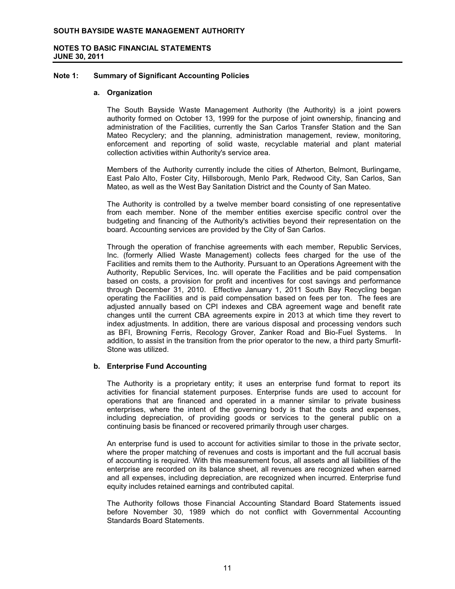## **NOTES TO BASIC FINANCIAL STATEMENTS JUNE 30, 2011**

#### **Note 1: Summary of Significant Accounting Policies**

#### **a. Organization**

The South Bayside Waste Management Authority (the Authority) is a joint powers authority formed on October 13, 1999 for the purpose of joint ownership, financing and administration of the Facilities, currently the San Carlos Transfer Station and the San Mateo Recyclery; and the planning, administration management, review, monitoring, enforcement and reporting of solid waste, recyclable material and plant material collection activities within Authority's service area.

Members of the Authority currently include the cities of Atherton, Belmont, Burlingame, East Palo Alto, Foster City, Hillsborough, Menlo Park, Redwood City, San Carlos, San Mateo, as well as the West Bay Sanitation District and the County of San Mateo.

The Authority is controlled by a twelve member board consisting of one representative from each member. None of the member entities exercise specific control over the budgeting and financing of the Authority's activities beyond their representation on the board. Accounting services are provided by the City of San Carlos.

Through the operation of franchise agreements with each member, Republic Services, Inc. (formerly Allied Waste Management) collects fees charged for the use of the Facilities and remits them to the Authority. Pursuant to an Operations Agreement with the Authority, Republic Services, Inc. will operate the Facilities and be paid compensation based on costs, a provision for profit and incentives for cost savings and performance through December 31, 2010. Effective January 1, 2011 South Bay Recycling began operating the Facilities and is paid compensation based on fees per ton. The fees are adjusted annually based on CPI indexes and CBA agreement wage and benefit rate changes until the current CBA agreements expire in 2013 at which time they revert to index adjustments. In addition, there are various disposal and processing vendors such as BFI, Browning Ferris, Recology Grover, Zanker Road and Bio-Fuel Systems. In addition, to assist in the transition from the prior operator to the new, a third party Smurfit-Stone was utilized.

### **b. Enterprise Fund Accounting**

The Authority is a proprietary entity; it uses an enterprise fund format to report its activities for financial statement purposes. Enterprise funds are used to account for operations that are financed and operated in a manner similar to private business enterprises, where the intent of the governing body is that the costs and expenses, including depreciation, of providing goods or services to the general public on a continuing basis be financed or recovered primarily through user charges.

An enterprise fund is used to account for activities similar to those in the private sector, where the proper matching of revenues and costs is important and the full accrual basis of accounting is required. With this measurement focus, all assets and all liabilities of the enterprise are recorded on its balance sheet, all revenues are recognized when earned and all expenses, including depreciation, are recognized when incurred. Enterprise fund equity includes retained earnings and contributed capital.

The Authority follows those Financial Accounting Standard Board Statements issued before November 30, 1989 which do not conflict with Governmental Accounting Standards Board Statements.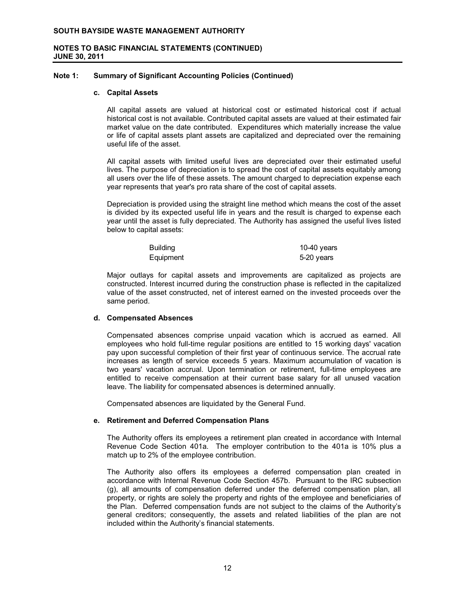#### **Note 1: Summary of Significant Accounting Policies (Continued)**

#### **c. Capital Assets**

All capital assets are valued at historical cost or estimated historical cost if actual historical cost is not available. Contributed capital assets are valued at their estimated fair market value on the date contributed. Expenditures which materially increase the value or life of capital assets plant assets are capitalized and depreciated over the remaining useful life of the asset.

All capital assets with limited useful lives are depreciated over their estimated useful lives. The purpose of depreciation is to spread the cost of capital assets equitably among all users over the life of these assets. The amount charged to depreciation expense each year represents that year's pro rata share of the cost of capital assets.

Depreciation is provided using the straight line method which means the cost of the asset is divided by its expected useful life in years and the result is charged to expense each year until the asset is fully depreciated. The Authority has assigned the useful lives listed below to capital assets:

| <b>Building</b> | 10-40 years |
|-----------------|-------------|
| Equipment       | 5-20 years  |

Major outlays for capital assets and improvements are capitalized as projects are constructed. Interest incurred during the construction phase is reflected in the capitalized value of the asset constructed, net of interest earned on the invested proceeds over the same period.

#### **d. Compensated Absences**

Compensated absences comprise unpaid vacation which is accrued as earned. All employees who hold full-time regular positions are entitled to 15 working days' vacation pay upon successful completion of their first year of continuous service. The accrual rate increases as length of service exceeds 5 years. Maximum accumulation of vacation is two years' vacation accrual. Upon termination or retirement, full-time employees are entitled to receive compensation at their current base salary for all unused vacation leave. The liability for compensated absences is determined annually.

Compensated absences are liquidated by the General Fund.

#### **e. Retirement and Deferred Compensation Plans**

The Authority offers its employees a retirement plan created in accordance with Internal Revenue Code Section 401a. The employer contribution to the 401a is 10% plus a match up to 2% of the employee contribution.

The Authority also offers its employees a deferred compensation plan created in accordance with Internal Revenue Code Section 457b. Pursuant to the IRC subsection (g), all amounts of compensation deferred under the deferred compensation plan, all property, or rights are solely the property and rights of the employee and beneficiaries of the Plan. Deferred compensation funds are not subject to the claims of the Authority's general creditors; consequently, the assets and related liabilities of the plan are not included within the Authority's financial statements.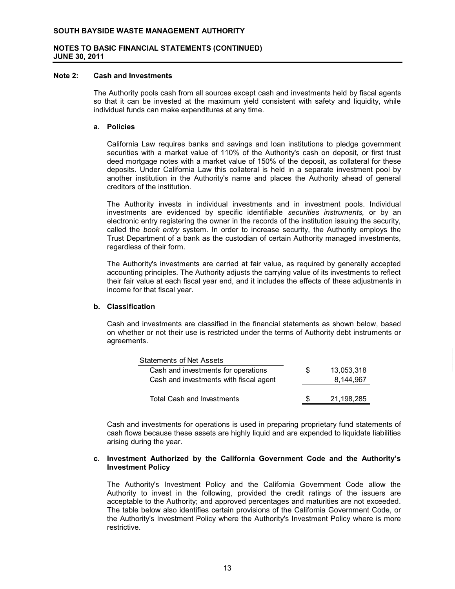#### **Note 2: Cash and Investments**

The Authority pools cash from all sources except cash and investments held by fiscal agents so that it can be invested at the maximum yield consistent with safety and liquidity, while individual funds can make expenditures at any time.

#### **a. Policies**

California Law requires banks and savings and loan institutions to pledge government securities with a market value of 110% of the Authority's cash on deposit, or first trust deed mortgage notes with a market value of 150% of the deposit, as collateral for these deposits. Under California Law this collateral is held in a separate investment pool by another institution in the Authority's name and places the Authority ahead of general creditors of the institution.

The Authority invests in individual investments and in investment pools. Individual investments are evidenced by specific identifiable *securities instruments,* or by an electronic entry registering the owner in the records of the institution issuing the security, called the *book entry* system. In order to increase security, the Authority employs the Trust Department of a bank as the custodian of certain Authority managed investments, regardless of their form.

The Authority's investments are carried at fair value, as required by generally accepted accounting principles. The Authority adjusts the carrying value of its investments to reflect their fair value at each fiscal year end, and it includes the effects of these adjustments in income for that fiscal year.

#### **b. Classification**

Cash and investments are classified in the financial statements as shown below, based on whether or not their use is restricted under the terms of Authority debt instruments or agreements.

| <b>Statements of Net Assets</b>        |    |            |
|----------------------------------------|----|------------|
| Cash and investments for operations    | S. | 13,053,318 |
| Cash and investments with fiscal agent |    | 8.144.967  |
|                                        |    |            |
| <b>Total Cash and Investments</b>      |    | 21,198,285 |

Cash and investments for operations is used in preparing proprietary fund statements of cash flows because these assets are highly liquid and are expended to liquidate liabilities arising during the year.

#### **c. Investment Authorized by the California Government Code and the Authority's Investment Policy**

The Authority's Investment Policy and the California Government Code allow the Authority to invest in the following, provided the credit ratings of the issuers are acceptable to the Authority; and approved percentages and maturities are not exceeded. The table below also identifies certain provisions of the California Government Code, or the Authority's Investment Policy where the Authority's Investment Policy where is more restrictive.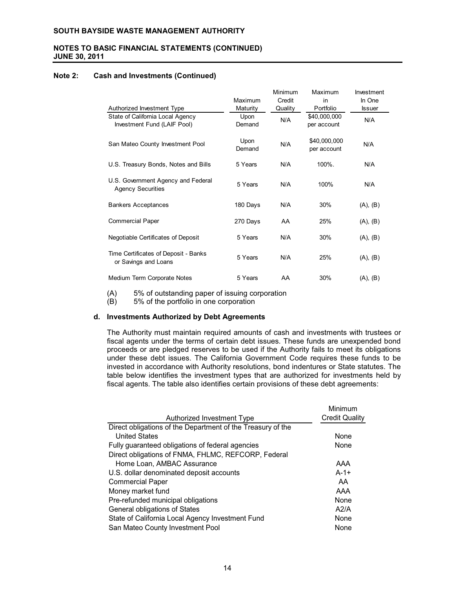### **Note 2: Cash and Investments (Continued)**

|                                                                 |                | Minimum | Maximum                     | Investment    |
|-----------------------------------------------------------------|----------------|---------|-----------------------------|---------------|
|                                                                 | Maximum        | Credit  | in                          | In One        |
| Authorized Investment Type                                      | Maturity       | Quality | Portfolio                   | <b>Issuer</b> |
| State of California Local Agency<br>Investment Fund (LAIF Pool) | Upon<br>Demand | N/A     | \$40,000,000<br>per account | N/A           |
| San Mateo County Investment Pool                                | Upon<br>Demand | N/A     | \$40,000,000<br>per account | N/A           |
| U.S. Treasury Bonds, Notes and Bills                            | 5 Years        | N/A     | 100%.                       | N/A           |
| U.S. Government Agency and Federal<br><b>Agency Securities</b>  | 5 Years        | N/A     | 100%                        | N/A           |
| <b>Bankers Acceptances</b>                                      | 180 Days       | N/A     | 30%                         | (A), (B)      |
| <b>Commercial Paper</b>                                         | 270 Days       | AA.     | 25%                         | (A), (B)      |
| Negotiable Certificates of Deposit                              | 5 Years        | N/A     | 30%                         | (A), (B)      |
| Time Certificates of Deposit - Banks<br>or Savings and Loans    | 5 Years        | N/A     | 25%                         | (A), (B)      |
| Medium Term Corporate Notes                                     | 5 Years        | AA      | 30%                         | (A), (B)      |

(A) 5% of outstanding paper of issuing corporation

(B) 5% of the portfolio in one corporation

### **d. Investments Authorized by Debt Agreements**

The Authority must maintain required amounts of cash and investments with trustees or fiscal agents under the terms of certain debt issues. These funds are unexpended bond proceeds or are pledged reserves to be used if the Authority fails to meet its obligations under these debt issues. The California Government Code requires these funds to be invested in accordance with Authority resolutions, bond indentures or State statutes. The table below identifies the investment types that are authorized for investments held by fiscal agents. The table also identifies certain provisions of these debt agreements:

|                                                             | Minimum               |
|-------------------------------------------------------------|-----------------------|
| Authorized Investment Type                                  | <b>Credit Quality</b> |
| Direct obligations of the Department of the Treasury of the |                       |
| <b>United States</b>                                        | <b>None</b>           |
| Fully guaranteed obligations of federal agencies            | None                  |
| Direct obligations of FNMA, FHLMC, REFCORP, Federal         |                       |
| Home Loan, AMBAC Assurance                                  | AAA                   |
| U.S. dollar denominated deposit accounts                    | $A - 1 +$             |
| <b>Commercial Paper</b>                                     | AA                    |
| Money market fund                                           | AAA                   |
| Pre-refunded municipal obligations                          | None                  |
| General obligations of States                               | A2/A                  |
| State of California Local Agency Investment Fund            | None                  |
| San Mateo County Investment Pool                            | None                  |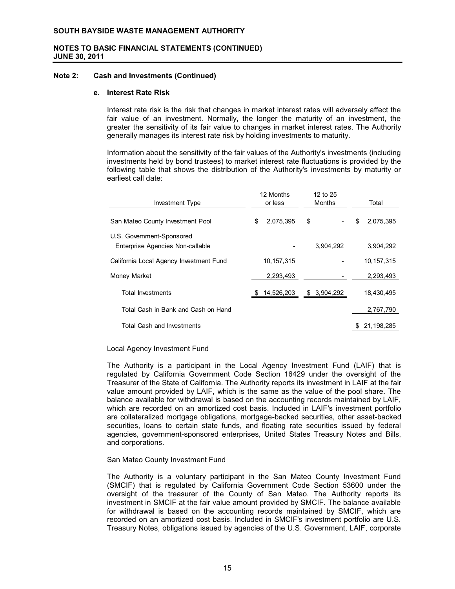#### **Note 2: Cash and Investments (Continued)**

#### **e. Interest Rate Risk**

Interest rate risk is the risk that changes in market interest rates will adversely affect the fair value of an investment. Normally, the longer the maturity of an investment, the greater the sensitivity of its fair value to changes in market interest rates. The Authority generally manages its interest rate risk by holding investments to maturity.

Information about the sensitivity of the fair values of the Authority's investments (including investments held by bond trustees) to market interest rate fluctuations is provided by the following table that shows the distribution of the Authority's investments by maturity or earliest call date:

| Investment Type                         | 12 Months<br>or less | 12 to 25<br>Months | Total           |
|-----------------------------------------|----------------------|--------------------|-----------------|
| San Mateo County Investment Pool        | \$<br>2,075,395      | \$                 | \$<br>2,075,395 |
| U.S. Government-Sponsored               |                      |                    |                 |
| Enterprise Agencies Non-callable        |                      | 3.904.292          | 3.904.292       |
| California Local Agency Investment Fund | 10, 157, 315         |                    | 10,157,315      |
| Money Market                            | 2,293,493            |                    | 2,293,493       |
| Total Investments                       | 14,526,203           | \$3,904,292        | 18,430,495      |
| Total Cash in Bank and Cash on Hand     |                      |                    | 2,767,790       |
| Total Cash and Investments              |                      |                    | 21,198,285      |

#### Local Agency Investment Fund

The Authority is a participant in the Local Agency Investment Fund (LAIF) that is regulated by California Government Code Section 16429 under the oversight of the Treasurer of the State of California. The Authority reports its investment in LAIF at the fair value amount provided by LAIF, which is the same as the value of the pool share. The balance available for withdrawal is based on the accounting records maintained by LAIF, which are recorded on an amortized cost basis. Included in LAIF's investment portfolio are collateralized mortgage obligations, mortgage-backed securities, other asset-backed securities, loans to certain state funds, and floating rate securities issued by federal agencies, government-sponsored enterprises, United States Treasury Notes and Bills, and corporations.

#### San Mateo County Investment Fund

The Authority is a voluntary participant in the San Mateo County Investment Fund (SMCIF) that is regulated by California Government Code Section 53600 under the oversight of the treasurer of the County of San Mateo. The Authority reports its investment in SMCIF at the fair value amount provided by SMCIF. The balance available for withdrawal is based on the accounting records maintained by SMCIF, which are recorded on an amortized cost basis. Included in SMCIF's investment portfolio are U.S. Treasury Notes, obligations issued by agencies of the U.S. Government, LAIF, corporate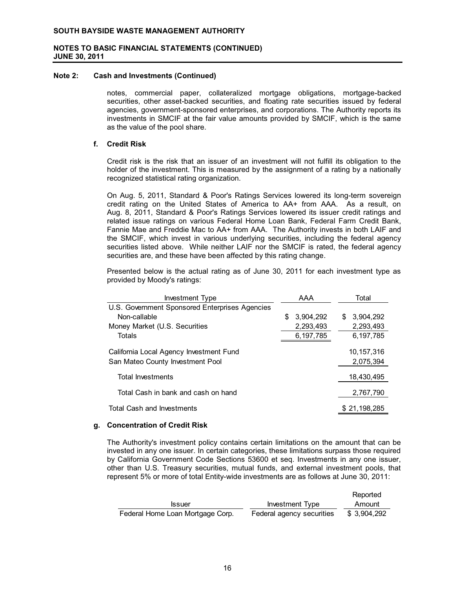#### **Note 2: Cash and Investments (Continued)**

notes, commercial paper, collateralized mortgage obligations, mortgage-backed securities, other asset-backed securities, and floating rate securities issued by federal agencies, government-sponsored enterprises, and corporations. The Authority reports its investments in SMCIF at the fair value amounts provided by SMCIF, which is the same as the value of the pool share.

#### **f. Credit Risk**

Credit risk is the risk that an issuer of an investment will not fulfill its obligation to the holder of the investment. This is measured by the assignment of a rating by a nationally recognized statistical rating organization.

On Aug. 5, 2011, Standard & Poor's Ratings Services lowered its long-term sovereign credit rating on the United States of America to AA+ from AAA. As a result, on Aug. 8, 2011, Standard & Poor's Ratings Services lowered its issuer credit ratings and related issue ratings on various Federal Home Loan Bank, Federal Farm Credit Bank, Fannie Mae and Freddie Mac to AA+ from AAA. The Authority invests in both LAIF and the SMCIF, which invest in various underlying securities, including the federal agency securities listed above. While neither LAIF nor the SMCIF is rated, the federal agency securities are, and these have been affected by this rating change.

Presented below is the actual rating as of June 30, 2011 for each investment type as provided by Moody's ratings:

| Investment Type                                                             |   | AAA       |    | Total                   |
|-----------------------------------------------------------------------------|---|-----------|----|-------------------------|
| U.S. Government Sponsored Enterprises Agencies                              |   |           |    |                         |
| Non-callable                                                                | S | 3,904,292 | S. | 3,904,292               |
| Money Market (U.S. Securities                                               |   | 2,293,493 |    | 2,293,493               |
| Totals                                                                      |   | 6,197,785 |    | 6,197,785               |
| California Local Agency Investment Fund<br>San Mateo County Investment Pool |   |           |    | 10.157.316<br>2,075,394 |
| Total Investments                                                           |   |           |    | 18,430,495              |
| Total Cash in bank and cash on hand                                         |   |           |    | 2,767,790               |
| <b>Total Cash and Investments</b>                                           |   |           |    | \$21,198,285            |

### **g. Concentration of Credit Risk**

The Authority's investment policy contains certain limitations on the amount that can be invested in any one issuer. In certain categories, these limitations surpass those required by California Government Code Sections 53600 et seq. Investments in any one issuer, other than U.S. Treasury securities, mutual funds, and external investment pools, that represent 5% or more of total Entity-wide investments are as follows at June 30, 2011:

|                                  |                           | Reported    |
|----------------------------------|---------------------------|-------------|
| <b>Issuer</b>                    | Investment Type           | Amount      |
| Federal Home Loan Mortgage Corp. | Federal agency securities | \$3,904,292 |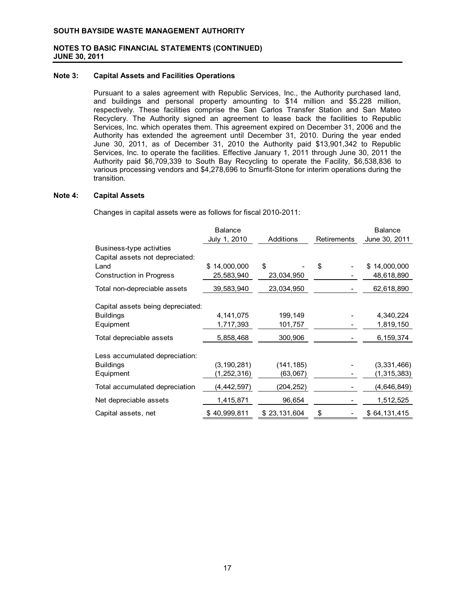#### **Note 3: Capital Assets and Facilities Operations**

Pursuant to a sales agreement with Republic Services, Inc., the Authority purchased land, and buildings and personal property amounting to \$14 million and \$5.228 million, respectively. These facilities comprise the San Carlos Transfer Station and San Mateo Recyclery. The Authority signed an agreement to lease back the facilities to Republic Services, Inc. which operates them. This agreement expired on December 31, 2006 and the Authority has extended the agreement until December 31, 2010. During the year ended June 30, 2011, as of December 31, 2010 the Authority paid \$13,901,342 to Republic Services, Inc. to operate the facilities. Effective January 1, 2011 through June 30, 2011 the Authority paid \$6,709,339 to South Bay Recycling to operate the Facility, \$6,538,836 to various processing vendors and \$4,278,696 to Smurfit-Stone for interim operations during the transition.

#### **Note 4: Capital Assets**

Changes in capital assets were as follows for fiscal 2010-2011:

|                                                             | <b>Balance</b>            |              |             | <b>Balance</b> |  |
|-------------------------------------------------------------|---------------------------|--------------|-------------|----------------|--|
|                                                             | July 1, 2010<br>Additions |              | Retirements | June 30, 2011  |  |
| Business-type activities<br>Capital assets not depreciated: |                           |              |             |                |  |
| Land                                                        | \$14,000,000              | \$           | \$          | \$14,000,000   |  |
| <b>Construction in Progress</b>                             | 25,583,940                | 23,034,950   |             | 48,618,890     |  |
| Total non-depreciable assets                                | 39,583,940                | 23,034,950   |             | 62,618,890     |  |
| Capital assets being depreciated:                           |                           |              |             |                |  |
| <b>Buildings</b>                                            | 4,141,075                 | 199,149      |             | 4,340,224      |  |
| Equipment                                                   | 1,717,393                 | 101,757      |             | 1,819,150      |  |
| Total depreciable assets                                    | 5,858,468                 | 300,906      |             | 6,159,374      |  |
| Less accumulated depreciation:                              |                           |              |             |                |  |
| <b>Buildings</b>                                            | (3, 190, 281)             | (141, 185)   |             | (3,331,466)    |  |
| Equipment                                                   | (1, 252, 316)             | (63,067)     |             | (1, 315, 383)  |  |
| Total accumulated depreciation                              | (4,442,597)               | (204,252)    |             | (4,646,849)    |  |
| Net depreciable assets                                      | 1,415,871                 | 96,654       |             | 1,512,525      |  |
| Capital assets, net                                         | \$40,999,811              | \$23,131,604 | \$          | \$64,131,415   |  |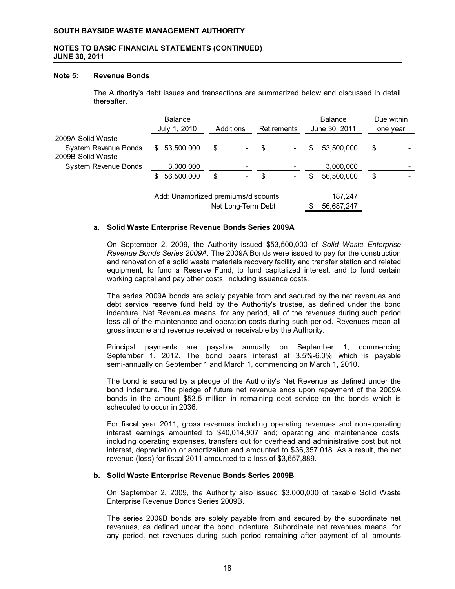#### **Note 5: Revenue Bonds**

The Authority's debt issues and transactions are summarized below and discussed in detail thereafter.

|                                                                | <b>Balance</b><br>July 1, 2010      | Additions |                  |     | Retirements |   | <b>Balance</b><br>June 30, 2011 |    | Due within<br>one year |
|----------------------------------------------------------------|-------------------------------------|-----------|------------------|-----|-------------|---|---------------------------------|----|------------------------|
| 2009A Solid Waste<br>System Revenue Bonds<br>2009B Solid Waste | 53,500,000<br>S.                    | S         | $\sim$ 100 $\mu$ | \$. |             | S | 53,500,000                      | \$ |                        |
| <b>System Revenue Bonds</b>                                    | 3,000,000                           |           |                  |     |             |   | 3,000,000                       |    |                        |
|                                                                | 56,500,000                          |           |                  |     |             | S | 56,500,000                      | £. |                        |
|                                                                | Add: Unamortized premiums/discounts |           |                  |     |             |   | 187.247                         |    |                        |

Net Long-Term Debt  $$56,687,247$ 

#### **a. Solid Waste Enterprise Revenue Bonds Series 2009A**

On September 2, 2009, the Authority issued \$53,500,000 of *Solid Waste Enterprise Revenue Bonds Series 2009A.* The 2009A Bonds were issued to pay for the construction and renovation of a solid waste materials recovery facility and transfer station and related equipment, to fund a Reserve Fund, to fund capitalized interest, and to fund certain working capital and pay other costs, including issuance costs.

The series 2009A bonds are solely payable from and secured by the net revenues and debt service reserve fund held by the Authority's trustee, as defined under the bond indenture. Net Revenues means, for any period, all of the revenues during such period less all of the maintenance and operation costs during such period. Revenues mean all gross income and revenue received or receivable by the Authority.

Principal payments are payable annually on September 1, commencing September 1, 2012. The bond bears interest at 3.5%-6.0% which is payable semi-annually on September 1 and March 1, commencing on March 1, 2010.

The bond is secured by a pledge of the Authority's Net Revenue as defined under the bond indenture. The pledge of future net revenue ends upon repayment of the 2009A bonds in the amount \$53.5 million in remaining debt service on the bonds which is scheduled to occur in 2036.

For fiscal year 2011, gross revenues including operating revenues and non-operating interest earnings amounted to \$40,014,907 and; operating and maintenance costs, including operating expenses, transfers out for overhead and administrative cost but not interest, depreciation or amortization and amounted to \$36,357,018. As a result, the net revenue (loss) for fiscal 2011 amounted to a loss of \$3,657,889.

#### **b. Solid Waste Enterprise Revenue Bonds Series 2009B**

On September 2, 2009, the Authority also issued \$3,000,000 of taxable Solid Waste Enterprise Revenue Bonds Series 2009B.

The series 2009B bonds are solely payable from and secured by the subordinate net revenues, as defined under the bond indenture. Subordinate net revenues means, for any period, net revenues during such period remaining after payment of all amounts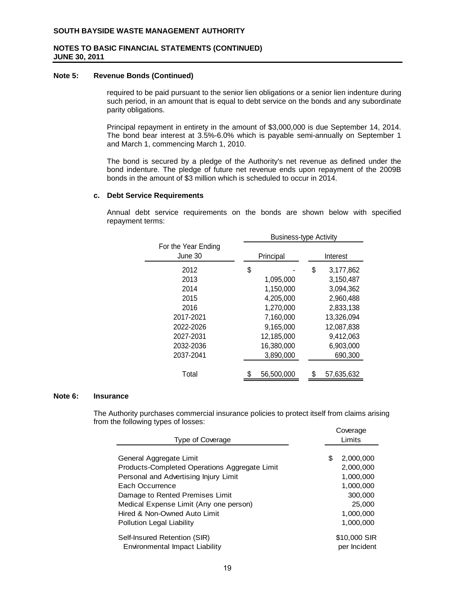#### **Note 5: Revenue Bonds (Continued)**

required to be paid pursuant to the senior lien obligations or a senior lien indenture during such period, in an amount that is equal to debt service on the bonds and any subordinate parity obligations.

Principal repayment in entirety in the amount of \$3,000,000 is due September 14, 2014. The bond bear interest at 3.5%-6.0% which is payable semi-annually on September 1 and March 1, commencing March 1, 2010.

The bond is secured by a pledge of the Authority's net revenue as defined under the bond indenture. The pledge of future net revenue ends upon repayment of the 2009B bonds in the amount of \$3 million which is scheduled to occur in 2014.

#### **c. Debt Service Requirements**

Annual debt service requirements on the bonds are shown below with specified repayment terms:

|                                | <b>Business-type Activity</b> |    |            |  |
|--------------------------------|-------------------------------|----|------------|--|
| For the Year Ending<br>June 30 | Principal                     |    | Interest   |  |
| 2012                           | \$                            | \$ | 3,177,862  |  |
| 2013                           | 1,095,000                     |    | 3,150,487  |  |
| 2014                           | 1,150,000                     |    | 3,094,362  |  |
| 2015                           | 4,205,000                     |    | 2,960,488  |  |
| 2016                           | 1,270,000                     |    | 2,833,138  |  |
| 2017-2021                      | 7,160,000                     |    | 13,326,094 |  |
| 2022-2026                      | 9,165,000                     |    | 12,087,838 |  |
| 2027-2031                      | 12,185,000                    |    | 9,412,063  |  |
| 2032-2036                      | 16,380,000                    |    | 6,903,000  |  |
| 2037-2041                      | 3,890,000                     |    | 690,300    |  |
| Total                          | 56,500,000                    |    | 57,635,632 |  |

#### **Note 6: Insurance**

The Authority purchases commercial insurance policies to protect itself from claims arising from the following types of losses:

| <b>Type of Coverage</b>                       | Coverage<br>Limits |  |
|-----------------------------------------------|--------------------|--|
|                                               |                    |  |
| General Aggregate Limit                       | \$<br>2,000,000    |  |
| Products-Completed Operations Aggregate Limit | 2,000,000          |  |
| Personal and Advertising Injury Limit         | 1,000,000          |  |
| Each Occurrence                               | 1,000,000          |  |
| Damage to Rented Premises Limit               | 300,000            |  |
| Medical Expense Limit (Any one person)        | 25,000             |  |
| Hired & Non-Owned Auto Limit                  | 1,000,000          |  |
| Pollution Legal Liability                     | 1,000,000          |  |
| Self-Insured Retention (SIR)                  | \$10,000 SIR       |  |
| Environmental Impact Liability                | per Incident       |  |